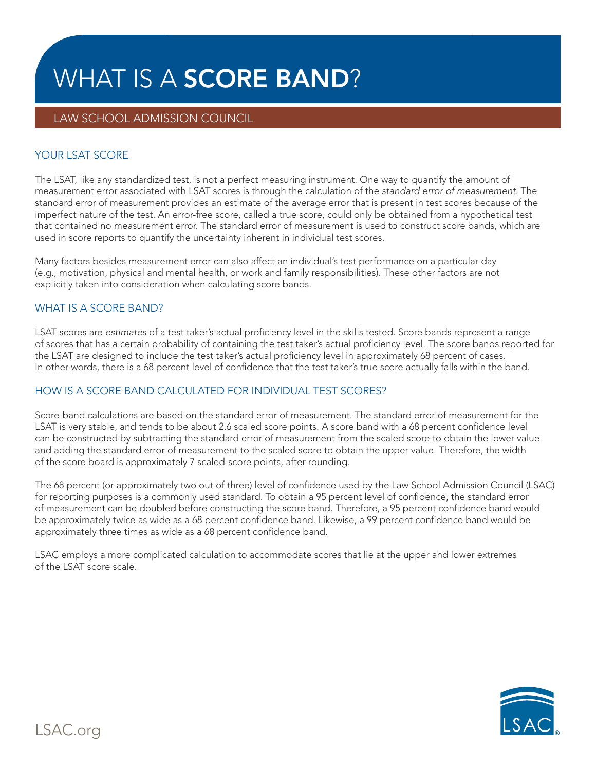# WHAT IS A **SCORE BAND**?

# LAW SCHOOL ADMISSION COUNCIL

## YOUR LSAT SCORE

The LSAT, like any standardized test, is not a perfect measuring instrument. One way to quantify the amount of measurement error associated with LSAT scores is through the calculation of the *standard error of measurement*. The standard error of measurement provides an estimate of the average error that is present in test scores because of the imperfect nature of the test. An error-free score, called a true score, could only be obtained from a hypothetical test that contained no measurement error. The standard error of measurement is used to construct score bands, which are used in score reports to quantify the uncertainty inherent in individual test scores.

Many factors besides measurement error can also affect an individual's test performance on a particular day (e.g., motivation, physical and mental health, or work and family responsibilities). These other factors are not explicitly taken into consideration when calculating score bands.

#### WHAT IS A SCORE BAND?

LSAT scores are *estimates* of a test taker's actual proficiency level in the skills tested. Score bands represent a range of scores that has a certain probability of containing the test taker's actual proficiency level. The score bands reported for the LSAT are designed to include the test taker's actual proficiency level in approximately 68 percent of cases. In other words, there is a 68 percent level of confidence that the test taker's true score actually falls within the band.

## HOW IS A SCORE BAND CALCULATED FOR INDIVIDUAL TEST SCORES?

Score-band calculations are based on the standard error of measurement. The standard error of measurement for the LSAT is very stable, and tends to be about 2.6 scaled score points. A score band with a 68 percent confidence level can be constructed by subtracting the standard error of measurement from the scaled score to obtain the lower value and adding the standard error of measurement to the scaled score to obtain the upper value. Therefore, the width of the score board is approximately 7 scaled-score points, after rounding.

The 68 percent (or approximately two out of three) level of confidence used by the Law School Admission Council (LSAC) for reporting purposes is a commonly used standard. To obtain a 95 percent level of confidence, the standard error of measurement can be doubled before constructing the score band. Therefore, a 95 percent confidence band would be approximately twice as wide as a 68 percent confidence band. Likewise, a 99 percent confidence band would be approximately three times as wide as a 68 percent confidence band.

LSAC employs a more complicated calculation to accommodate scores that lie at the upper and lower extremes of the LSAT score scale.